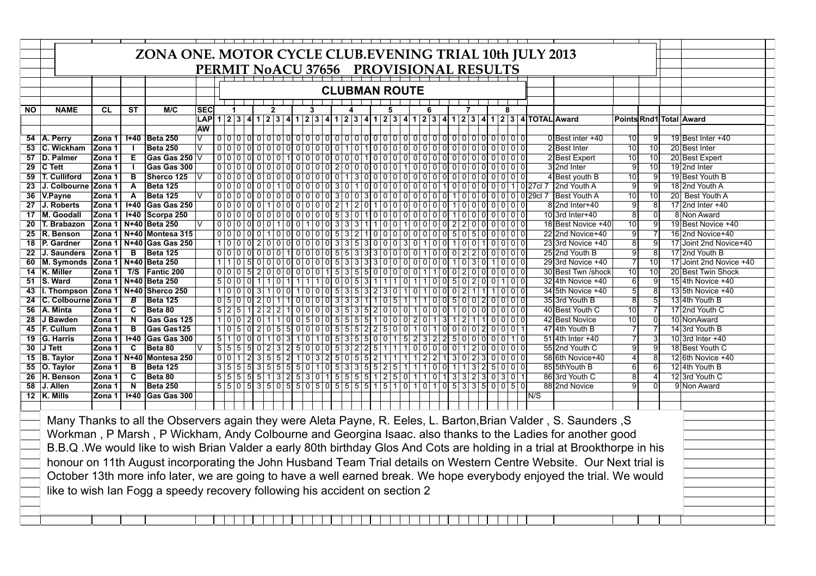|                 |                                                                                                                 | ZONA ONE. MOTOR CYCLE CLUB.EVENING TRIAL 10th JULY 2013 |                         |                                                                             |                                        |                            |                                                                                                                                                                                                                                                                                                                                                                                                                                                            |                                                    |                                    |     |                      |  |  |  |  |     |                |              |                   |  |            |                         |                 |  |                                                                                              |                                                                                                                            |                         |                 |                              |
|-----------------|-----------------------------------------------------------------------------------------------------------------|---------------------------------------------------------|-------------------------|-----------------------------------------------------------------------------|----------------------------------------|----------------------------|------------------------------------------------------------------------------------------------------------------------------------------------------------------------------------------------------------------------------------------------------------------------------------------------------------------------------------------------------------------------------------------------------------------------------------------------------------|----------------------------------------------------|------------------------------------|-----|----------------------|--|--|--|--|-----|----------------|--------------|-------------------|--|------------|-------------------------|-----------------|--|----------------------------------------------------------------------------------------------|----------------------------------------------------------------------------------------------------------------------------|-------------------------|-----------------|------------------------------|
|                 |                                                                                                                 |                                                         |                         |                                                                             |                                        |                            |                                                                                                                                                                                                                                                                                                                                                                                                                                                            |                                                    |                                    |     |                      |  |  |  |  |     |                |              |                   |  |            |                         |                 |  |                                                                                              |                                                                                                                            |                         |                 |                              |
|                 |                                                                                                                 |                                                         |                         |                                                                             | PERMIT NoACU 37656 PROVISIONAL RESULTS |                            |                                                                                                                                                                                                                                                                                                                                                                                                                                                            |                                                    |                                    |     |                      |  |  |  |  |     |                |              |                   |  |            |                         |                 |  |                                                                                              |                                                                                                                            |                         |                 |                              |
|                 |                                                                                                                 |                                                         |                         |                                                                             |                                        |                            |                                                                                                                                                                                                                                                                                                                                                                                                                                                            |                                                    |                                    |     |                      |  |  |  |  |     |                |              |                   |  |            |                         |                 |  |                                                                                              |                                                                                                                            |                         |                 |                              |
|                 |                                                                                                                 |                                                         |                         |                                                                             |                                        |                            | <b>CLUBMAN ROUTE</b>                                                                                                                                                                                                                                                                                                                                                                                                                                       |                                                    |                                    |     |                      |  |  |  |  |     |                |              |                   |  |            |                         |                 |  |                                                                                              |                                                                                                                            |                         |                 |                              |
|                 |                                                                                                                 |                                                         |                         |                                                                             |                                        |                            |                                                                                                                                                                                                                                                                                                                                                                                                                                                            |                                                    |                                    |     |                      |  |  |  |  |     |                |              |                   |  |            |                         |                 |  |                                                                                              |                                                                                                                            |                         |                 |                              |
| ΝO              | <b>NAME</b>                                                                                                     | <b>CL</b>                                               | <b>ST</b>               | M/C                                                                         | SEC                                    |                            |                                                                                                                                                                                                                                                                                                                                                                                                                                                            |                                                    | 2                                  |     |                      |  |  |  |  | 5   |                |              | 6                 |  |            |                         | 8               |  |                                                                                              |                                                                                                                            |                         |                 |                              |
|                 |                                                                                                                 |                                                         |                         |                                                                             | <b>LAP</b>                             |                            |                                                                                                                                                                                                                                                                                                                                                                                                                                                            |                                                    |                                    |     |                      |  |  |  |  |     |                |              |                   |  |            |                         |                 |  | 1 2 3 4 1 2 3 4 1 2 3 4 1 2 3 4 1 2 3 4 1 2 3 4 1 2 3 4 1 2 3 4 1 2 3 4 1 2 3 4 7 0 Al Award |                                                                                                                            |                         |                 | Points Rnd1 Total Award      |
|                 |                                                                                                                 |                                                         |                         |                                                                             | <b>AW</b>                              |                            |                                                                                                                                                                                                                                                                                                                                                                                                                                                            |                                                    |                                    |     |                      |  |  |  |  |     |                |              |                   |  |            |                         |                 |  |                                                                                              |                                                                                                                            |                         |                 |                              |
|                 | 54   A. Perry                                                                                                   | Zona 1                                                  |                         | 1+40 Beta 250                                                               |                                        |                            | $0 0 0 0 $                                                                                                                                                                                                                                                                                                                                                                                                                                                 |                                                    | 000000000000000000000000000000000  |     |                      |  |  |  |  |     |                |              |                   |  |            |                         |                 |  |                                                                                              | 0 Best inter +40                                                                                                           | 10                      |                 | 19 Best Inter +40            |
| $\overline{53}$ | C. Wickham                                                                                                      | Zona 1                                                  |                         | <b>Beta 250</b>                                                             |                                        |                            |                                                                                                                                                                                                                                                                                                                                                                                                                                                            |                                                    |                                    |     |                      |  |  |  |  |     |                |              |                   |  |            |                         |                 |  |                                                                                              | 2 Best Inter                                                                                                               | $\overline{10}$         | $\overline{10}$ | 20 Best Inter                |
| 57              | <b>D. Palmer</b>                                                                                                | Zona 1                                                  | Ε                       | Gas Gas 250 V                                                               |                                        |                            |                                                                                                                                                                                                                                                                                                                                                                                                                                                            |                                                    |                                    |     |                      |  |  |  |  |     |                |              |                   |  |            |                         |                 |  |                                                                                              | 2 Best Expert                                                                                                              | 10                      | 10              | 20 Best Expert               |
| 29              | <b>C</b> Tett                                                                                                   | Zona 1                                                  |                         | Gas Gas 300                                                                 |                                        | 000                        |                                                                                                                                                                                                                                                                                                                                                                                                                                                            |                                                    | 00000000002000000                  |     |                      |  |  |  |  |     |                |              |                   |  |            | 1000000000000           |                 |  |                                                                                              | 32nd Inter                                                                                                                 | g                       | 10              | 192nd Inter                  |
| 59              | <b>T. Culliford</b>                                                                                             | Zona 1                                                  | B                       | Sherco 125                                                                  |                                        |                            | 00000000000000001300000000000000000000                                                                                                                                                                                                                                                                                                                                                                                                                     |                                                    |                                    |     |                      |  |  |  |  |     |                |              |                   |  |            |                         |                 |  |                                                                                              | 4 Best youth B                                                                                                             | $\overline{10}$         | g               | 19 Best Youth B              |
| 23              | J. Colbourne Zona 1                                                                                             |                                                         | $\overline{A}$          | <b>Beta 125</b>                                                             |                                        |                            |                                                                                                                                                                                                                                                                                                                                                                                                                                                            |                                                    |                                    |     |                      |  |  |  |  |     |                |              |                   |  |            |                         |                 |  | 000000100000301000000000000000000000                                                         | 2nd Youth A                                                                                                                | ٠g                      |                 | 182nd Youth A                |
|                 | 36 V.Payne                                                                                                      | Zona 1                                                  | A                       | <b>Beta 125</b>                                                             |                                        |                            |                                                                                                                                                                                                                                                                                                                                                                                                                                                            |                                                    |                                    |     |                      |  |  |  |  |     |                |              |                   |  |            |                         |                 |  |                                                                                              | <b>Best Youth A</b>                                                                                                        | 10                      | 10              | 20 Best Youth A              |
| 27              | J. Roberts                                                                                                      | Zona 1                                                  | $1 + 40$                | Gas Gas 250                                                                 |                                        | $0$ $0$ $0$ $1$            |                                                                                                                                                                                                                                                                                                                                                                                                                                                            | 000                                                | 100000021201000000100000000        |     |                      |  |  |  |  |     |                |              |                   |  |            |                         |                 |  |                                                                                              | 8 2nd Inter+40                                                                                                             | g                       |                 | 17 2nd Inter +40             |
| 17              | M. Goodall                                                                                                      | Zona 1                                                  | $H+40$                  | Scorpa 250                                                                  |                                        |                            | 00000000000000005301000000000010000000                                                                                                                                                                                                                                                                                                                                                                                                                     |                                                    |                                    |     |                      |  |  |  |  |     |                |              |                   |  |            |                         |                 |  |                                                                                              | 10 3rd Inter+40                                                                                                            | $\overline{8}$          |                 | 8 Non Award                  |
|                 | 20   T. Brabazon                                                                                                | Zona 1                                                  |                         | N+40 Beta 250                                                               |                                        |                            | $0 0 0 0 0 0 1 1 0 0 1 0 0 3 3 3 1 1 0 0 1$                                                                                                                                                                                                                                                                                                                                                                                                                |                                                    |                                    |     |                      |  |  |  |  |     |                |              |                   |  |            | 100002200000            |                 |  |                                                                                              | 18 Best Novice +40                                                                                                         | 10                      |                 | 19 Best Novice +40           |
|                 | 25 R. Benson                                                                                                    | Zona 1                                                  |                         | N+40 Montesa 315                                                            |                                        |                            | $00000$                                                                                                                                                                                                                                                                                                                                                                                                                                                    |                                                    | 100000053210000000050500000        |     |                      |  |  |  |  |     |                |              |                   |  |            |                         |                 |  |                                                                                              | 22 2nd Novice+40                                                                                                           | $\overline{9}$          |                 | 16 2nd Novice+40             |
|                 | 18 P. Gardner                                                                                                   | Zona 1                                                  | N+40                    | Gas Gas 250                                                                 |                                        |                            | $1000020000000003353000$                                                                                                                                                                                                                                                                                                                                                                                                                                   |                                                    |                                    |     |                      |  |  |  |  |     |                |              | 3 0 1 0 0 1 0 0 1 |  |            |                         | $0$ $0$ $0$ $0$ |  |                                                                                              | 23 3rd Novice +40                                                                                                          | $\overline{8}$          | 9               | 17 Joint 2nd Novice+40       |
|                 | 22 J. Saunders                                                                                                  | Zona 1                                                  | B                       | <b>Beta 125</b>                                                             |                                        |                            | 000000001000055333000010002200000                                                                                                                                                                                                                                                                                                                                                                                                                          |                                                    |                                    |     |                      |  |  |  |  |     |                |              |                   |  |            |                         |                 |  |                                                                                              | 25 2nd Youth B                                                                                                             | $\overline{9}$          | $\overline{8}$  | 17 2nd Youth B               |
| 60              | M. Symonds                                                                                                      | Zona 1                                                  |                         | N+40 Beta 250                                                               |                                        |                            | 110500000000053330000000010301000                                                                                                                                                                                                                                                                                                                                                                                                                          |                                                    |                                    |     |                      |  |  |  |  |     |                |              |                   |  |            |                         |                 |  |                                                                                              | 29 3rd Novice +40                                                                                                          | 7                       | $\overline{10}$ | 17 Joint 2nd Novice +40      |
|                 | 14 K. Miller                                                                                                    | Zona 1                                                  | T/S                     | Fantic 200                                                                  |                                        |                            | $0 0 0 5 2 0 0 0 0 0 1 5 3 5 5 0 0 0 0 1 1 0 0 2 0 0 0 0 0 0$                                                                                                                                                                                                                                                                                                                                                                                              |                                                    |                                    |     |                      |  |  |  |  |     |                |              |                   |  |            |                         |                 |  |                                                                                              | 30 Best Twn /shock                                                                                                         | 10                      | 10              | 20 Best Twin Shock           |
|                 | 51 S. Ward                                                                                                      | Zona 1                                                  |                         | N+40 Beta 250                                                               |                                        | 500                        |                                                                                                                                                                                                                                                                                                                                                                                                                                                            | ol<br>$\overline{1}$                               | 1 0 1                              |     | 11110000531          |  |  |  |  | 1 1 | $\overline{0}$ |              |                   |  |            | 1 1 0 0 5 0 2 0 0 1 0 0 |                 |  |                                                                                              | 32 4th Novice +40                                                                                                          | 6                       |                 | 154th Novice +40             |
| 43              | I. Thompson                                                                                                     | lZona 1                                                 |                         | N+40 Sherco 250                                                             |                                        | 1 0 0                      |                                                                                                                                                                                                                                                                                                                                                                                                                                                            | 3<br>οI                                            | $1001100105353230$                 |     |                      |  |  |  |  |     |                |              | 0 1 0 0 0 2       |  |            |                         | 1000            |  |                                                                                              | 34 5th Novice +40                                                                                                          | 5                       |                 | 1315th Novice +40            |
| $\overline{24}$ | <b>C. Colbournel</b><br>A. Minta                                                                                | Zona 1                                                  | $\overline{B}$          | <b>Beta 125</b>                                                             |                                        | $0 \ 5 \ 0$<br>$5 \ 2 \ 5$ |                                                                                                                                                                                                                                                                                                                                                                                                                                                            | $\overline{0}$<br>$\overline{2}$<br>$\overline{2}$ | $\overline{0}$<br>11               | 1 I | 000033311105         |  |  |  |  |     |                | 11           | 1 0 0 5 0         |  |            | 0 2 0 0 0 0             |                 |  |                                                                                              | 35 3rd Youth B<br>40 Best Youth C                                                                                          | $\overline{\mathbf{8}}$ |                 | 134th Youth B                |
| 56<br>28        | J Bawden                                                                                                        | Zona 1<br>Zona 1                                        | C<br>N                  | Beta 80<br>Gas Gas 125                                                      |                                        | 100                        |                                                                                                                                                                                                                                                                                                                                                                                                                                                            | 2 0                                                | $2$ 2 1 0 0 0 0 3 5 3 5 2 0 0<br>1 |     | $100500555510002013$ |  |  |  |  |     | 0              | $\mathbf{1}$ | 0 0 0             |  | $1 \mid 2$ | 100000000               | $00000$         |  |                                                                                              | 42 Best Novice                                                                                                             | 10<br>10                | $\Omega$        | 172nd Youth C<br>10 NonAward |
|                 | 45 F. Cullum                                                                                                    | Zona 1                                                  | $\overline{B}$          | Gas Gas125                                                                  |                                        |                            | $105020550000055522500$                                                                                                                                                                                                                                                                                                                                                                                                                                    |                                                    |                                    |     |                      |  |  |  |  |     |                |              |                   |  |            | 101000020001            |                 |  |                                                                                              | 47 4th Youth B                                                                                                             |                         |                 | 14 3rd Youth B               |
|                 | 19 G. Harris                                                                                                    | Zona 1                                                  | $H + 40$                | Gas Gas 300                                                                 |                                        |                            | 51000                                                                                                                                                                                                                                                                                                                                                                                                                                                      |                                                    | $10310101053550015232500000010$    |     |                      |  |  |  |  |     |                |              |                   |  |            |                         |                 |  |                                                                                              | 51 4th Inter +40                                                                                                           | 7                       |                 | 10 3rd Inter +40             |
| 30              | J Tett                                                                                                          | Zona 1                                                  | $\overline{c}$          | Beta 80                                                                     |                                        | 555                        |                                                                                                                                                                                                                                                                                                                                                                                                                                                            | $\overline{0}$<br>5                                | 23250005322511                     |     |                      |  |  |  |  |     |                |              |                   |  |            | $10000001200000$        |                 |  |                                                                                              | 55 2nd Youth C                                                                                                             | g                       |                 | 18 Best Youth C              |
|                 | 15 B. Taylor                                                                                                    | Zona 1                                                  |                         | N+40 Montesa 250                                                            |                                        | $0$ 0 1                    |                                                                                                                                                                                                                                                                                                                                                                                                                                                            | $\overline{2}$ $\overline{3}$                      | $5$ $5$ $2$ 1 0 3 2 5 0 5 5 2 1 1  |     |                      |  |  |  |  |     | $\vert$ 1      |              |                   |  |            | 1 2 2 1 3 0 23 0 0 0 0  |                 |  |                                                                                              | 58 6th Novice+40                                                                                                           |                         |                 | 12 6th Novice +40            |
| 55              | <b>O. Taylor</b>                                                                                                | Zona 1                                                  | в                       | <b>Beta 125</b>                                                             |                                        | 3   5   5                  |                                                                                                                                                                                                                                                                                                                                                                                                                                                            | 53                                                 | 55550105335525                     |     |                      |  |  |  |  |     | -11            |              |                   |  |            | 1100111325000           |                 |  |                                                                                              | 85 5th Youth B                                                                                                             | ิ คิ                    |                 | 12 4th Youth B               |
| 26              | H. Benson                                                                                                       | Zona 1                                                  | $\overline{\mathbf{c}}$ | Beta 80                                                                     |                                        |                            |                                                                                                                                                                                                                                                                                                                                                                                                                                                            |                                                    |                                    |     |                      |  |  |  |  |     |                |              |                   |  |            |                         |                 |  |                                                                                              | 86 3rd Youth C                                                                                                             | 8                       |                 | 12 3rd Youth C               |
| 58              | J. Allen                                                                                                        | Zona 1                                                  | N                       | <b>Beta 250</b>                                                             |                                        |                            | $5\,\overline{\,}5\,\overline{\,}0\,\overline{\,}5\,\overline{\,}0\,\overline{\,}5\,\overline{\,}0\,\overline{\,}5\,\overline{\,}0\,\overline{\,}5\,\overline{\,}0\,\overline{\,}5\,\overline{\,}0\,\overline{\,}5\,\overline{\,}5\,\overline{\,}5\,\overline{\,}1\,\overline{\,}5\,\overline{\,}1\,\overline{\,}0\,\overline{\,}1\,\overline{\,}0\,\overline{\,}1\,\overline{\,}0\,\overline{\,}1\,\overline{\,}0\,\overline{\,}5\,\overline{\,}3\,\over$ |                                                    |                                    |     |                      |  |  |  |  |     |                |              |                   |  |            |                         |                 |  |                                                                                              | 88 2nd Novice                                                                                                              | $\mathbf{Q}$            |                 | 9 Non Award                  |
|                 | 12 $\,$ K. Mills                                                                                                | Zona 1                                                  |                         | I+40 Gas Gas 300                                                            |                                        |                            |                                                                                                                                                                                                                                                                                                                                                                                                                                                            |                                                    |                                    |     |                      |  |  |  |  |     |                |              |                   |  |            |                         |                 |  | N/S                                                                                          |                                                                                                                            |                         |                 |                              |
|                 |                                                                                                                 |                                                         |                         |                                                                             |                                        |                            |                                                                                                                                                                                                                                                                                                                                                                                                                                                            |                                                    |                                    |     |                      |  |  |  |  |     |                |              |                   |  |            |                         |                 |  |                                                                                              |                                                                                                                            |                         |                 |                              |
|                 | Many Thanks to all the Observers again they were Aleta Payne, R. Eeles, L. Barton, Brian Valder, S. Saunders, S |                                                         |                         |                                                                             |                                        |                            |                                                                                                                                                                                                                                                                                                                                                                                                                                                            |                                                    |                                    |     |                      |  |  |  |  |     |                |              |                   |  |            |                         |                 |  |                                                                                              |                                                                                                                            |                         |                 |                              |
|                 |                                                                                                                 |                                                         |                         |                                                                             |                                        |                            |                                                                                                                                                                                                                                                                                                                                                                                                                                                            |                                                    |                                    |     |                      |  |  |  |  |     |                |              |                   |  |            |                         |                 |  |                                                                                              | Workman, P Marsh, P Wickham, Andy Colbourne and Georgina Isaac. also thanks to the Ladies for another good                 |                         |                 |                              |
|                 |                                                                                                                 |                                                         |                         |                                                                             |                                        |                            |                                                                                                                                                                                                                                                                                                                                                                                                                                                            |                                                    |                                    |     |                      |  |  |  |  |     |                |              |                   |  |            |                         |                 |  |                                                                                              |                                                                                                                            |                         |                 |                              |
|                 |                                                                                                                 |                                                         |                         |                                                                             |                                        |                            |                                                                                                                                                                                                                                                                                                                                                                                                                                                            |                                                    |                                    |     |                      |  |  |  |  |     |                |              |                   |  |            |                         |                 |  |                                                                                              | B.B.Q. We would like to wish Brian Valder a early 80th birthday Glos And Cots are holding in a trial at Brookthorpe in his |                         |                 |                              |
|                 |                                                                                                                 |                                                         |                         |                                                                             |                                        |                            |                                                                                                                                                                                                                                                                                                                                                                                                                                                            |                                                    |                                    |     |                      |  |  |  |  |     |                |              |                   |  |            |                         |                 |  |                                                                                              | honour on 11th August incorporating the John Husband Team Trial details on Western Centre Website. Our Next trial is       |                         |                 |                              |
|                 |                                                                                                                 |                                                         |                         |                                                                             |                                        |                            |                                                                                                                                                                                                                                                                                                                                                                                                                                                            |                                                    |                                    |     |                      |  |  |  |  |     |                |              |                   |  |            |                         |                 |  |                                                                                              | October 13th more info later, we are going to have a well earned break. We hope everybody enjoyed the trial. We would      |                         |                 |                              |
|                 |                                                                                                                 |                                                         |                         | like to wish lan Fogg a speedy recovery following his accident on section 2 |                                        |                            |                                                                                                                                                                                                                                                                                                                                                                                                                                                            |                                                    |                                    |     |                      |  |  |  |  |     |                |              |                   |  |            |                         |                 |  |                                                                                              |                                                                                                                            |                         |                 |                              |
|                 |                                                                                                                 |                                                         |                         |                                                                             |                                        |                            |                                                                                                                                                                                                                                                                                                                                                                                                                                                            |                                                    |                                    |     |                      |  |  |  |  |     |                |              |                   |  |            |                         |                 |  |                                                                                              |                                                                                                                            |                         |                 |                              |
|                 |                                                                                                                 |                                                         |                         |                                                                             |                                        |                            |                                                                                                                                                                                                                                                                                                                                                                                                                                                            |                                                    |                                    |     |                      |  |  |  |  |     |                |              |                   |  |            |                         |                 |  |                                                                                              |                                                                                                                            |                         |                 |                              |
|                 |                                                                                                                 |                                                         |                         |                                                                             |                                        |                            |                                                                                                                                                                                                                                                                                                                                                                                                                                                            |                                                    |                                    |     |                      |  |  |  |  |     |                |              |                   |  |            |                         |                 |  |                                                                                              |                                                                                                                            |                         |                 |                              |